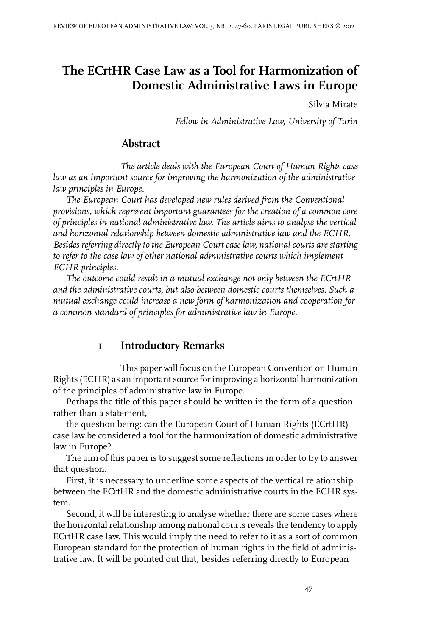# **The ECrtHR Case Law as a Tool for Harmonization of Domestic Administrative Laws in Europe**

Silvia Mirate

*Fellow in Administrative Law, University of Turin*

## **Abstract**

*The article deals with the European Court of Human Rights case law as an important source for improving the harmonization of the administrative law principles in Europe.*

*The European Court has developed new rules derived from the Conventional provisions, which represent important guarantees for the creation of a common core of principles in national administrative law. The article aims to analyse the vertical and horizontal relationship between domestic administrative law and the ECHR. Besides referring directly to the European Court case law, national courts are starting to refer to the case law of other national administrative courts which implement ECHR principles.*

*The outcome could result in a mutual exchange not only between the ECrtHR and the administrative courts, but also between domestic courts themselves. Such a mutual exchange could increase a new form of harmonization and cooperation for a common standard of principles for administrative law in Europe.*

#### **1 Introductory Remarks**

This paper will focus on the European Convention on Human Rights (ECHR) as an important source for improving a horizontal harmonization of the principles of administrative law in Europe.

Perhaps the title of this paper should be written in the form of a question rather than a statement,

the question being: can the European Court of Human Rights (ECrtHR) case law be considered a tool for the harmonization of domestic administrative law in Europe?

The aim of this paper is to suggest some reflections in order to try to answer that question.

First, it is necessary to underline some aspects of the vertical relationship between the ECrtHR and the domestic administrative courts in the ECHR system.

Second, it will be interesting to analyse whether there are some cases where the horizontal relationship among national courts reveals the tendency to apply ECrtHR case law. This would imply the need to refer to it as a sort of common European standard for the protection of human rights in the field of administrative law. It will be pointed out that, besides referring directly to European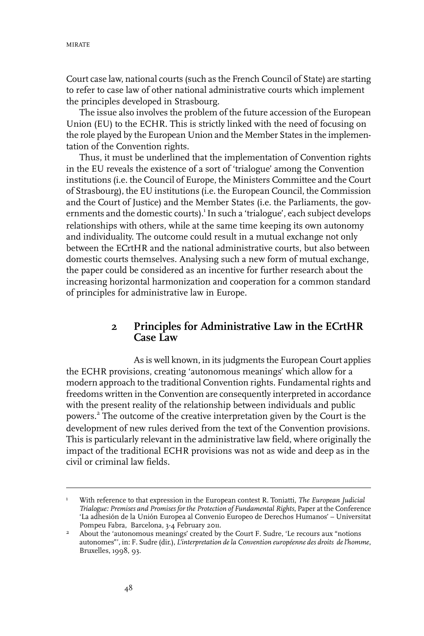Court case law, national courts (such as the French Council of State) are starting to refer to case law of other national administrative courts which implement the principles developed in Strasbourg.

The issue also involves the problem of the future accession of the European Union (EU) to the ECHR. This is strictly linked with the need of focusing on the role played by the European Union and the Member States in the implementation of the Convention rights.

Thus, it must be underlined that the implementation of Convention rights in the EU reveals the existence of a sort of 'trialogue' among the Convention institutions (i.e. the Council of Europe, the Ministers Committee and the Court of Strasbourg), the EU institutions (i.e. the European Council, the Commission and the Court of Justice) and the Member States (i.e. the Parliaments, the governments and the domestic courts).<sup>1</sup> In such a 'trialogue', each subject develops relationships with others, while at the same time keeping its own autonomy and individuality. The outcome could result in a mutual exchange not only between the ECrtHR and the national administrative courts, but also between domestic courts themselves. Analysing such a new form of mutual exchange, the paper could be considered as an incentive for further research about the increasing horizontal harmonization and cooperation for a common standard of principles for administrative law in Europe.

#### **2 Principles for Administrative Law in the ECrtHR Case Law**

As is well known, in its judgments the European Court applies the ECHR provisions, creating 'autonomous meanings' which allow for a modern approach to the traditional Convention rights. Fundamental rights and freedoms written in the Convention are consequently interpreted in accordance with the present reality of the relationship between individuals and public powers.<sup>2</sup> The outcome of the creative interpretation given by the Court is the development of new rules derived from the text of the Convention provisions. This is particularly relevant in the administrative law field, where originally the impact of the traditional ECHR provisions was not as wide and deep as in the civil or criminal law fields.

With reference to that expression in the European contest R. Toniatti, *The European Judicial Trialogue: Premises and Promises for the Protection of Fundamental Rights*, Paper at the Conference 1 'La adhesión de la Unión Europea al Convenio Europeo de Derechos Humanos' – Universitat Pompeu Fabra, Barcelona, 3-4 February 2011.

About the 'autonomous meanings' created by the Court F. Sudre, 'Le recours aux "notions autonomes"', in: F. Sudre (dir.), *L'interpretation de la Convention européenne des droits de l'homme*, Bruxelles, 1998, 93. 2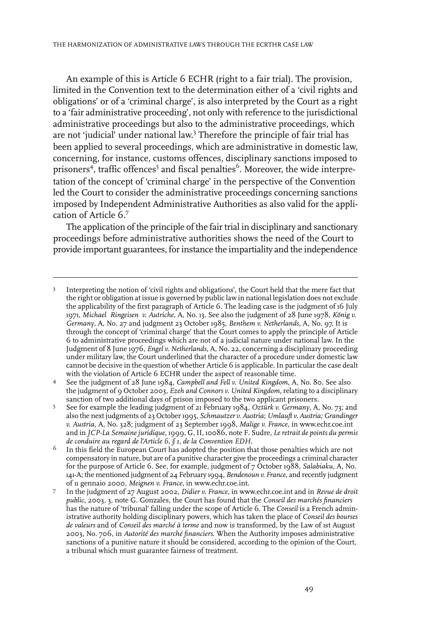An example of this is Article 6 ECHR (right to a fair trial). The provision, limited in the Convention text to the determination either of a 'civil rights and obligations' or of a 'criminal charge', is also interpreted by the Court as a right to a 'fair administrative proceeding', not only with reference to the jurisdictional administrative proceedings but also to the administrative proceedings, which are not 'judicial' under national law. 3 Therefore the principle of fair trial has been applied to several proceedings, which are administrative in domestic law, concerning, for instance, customs offences, disciplinary sanctions imposed to prisoners<sup>4</sup>, traffic offences<sup>5</sup> and fiscal penalties<sup>6</sup>. Moreover, the wide interpretation of the concept of 'criminal charge' in the perspective of the Convention led the Court to consider the administrative proceedings concerning sanctions imposed by Independent Administrative Authorities as also valid for the application of Article 6.<sup>7</sup>

The application of the principle of the fair trial in disciplinary and sanctionary proceedings before administrative authorities shows the need of the Court to provide important guarantees, for instance the impartiality and the independence

Interpreting the notion of 'civil rights and obligations', the Court held that the mere fact that the right or obligation at issue is governed by public law in national legislation does not exclude 3 the applicability of the first paragraph of Article 6. The leading case is the judgment of 16 July 1971, *Michael Ringeisen v. Autriche*, A, No. 13. See also the judgment of 28 June 1978, *König v. Germany*, A, No. 27 and judgment 23 October 1985, *Benthem v. Netherlands*, A, No. 97.It is through the concept of 'criminal charge' that the Court comes to apply the principle of Article 6 to administrative proceedings which are not of a judicial nature under national law.In the Judgment of 8 June 1976, *Engel v. Netherlands*, A, No. 22, concerning a disciplinary proceeding under military law, the Court underlined that the character of a procedure under domestic law cannot be decisive in the question of whether Article 6 is applicable.In particular the case dealt with the violation of Article 6 ECHR under the aspect of reasonable time.

See the judgment of 28 June 1984, *Campbell and Fell v. United Kingdom*, A, No. 80. See also the judgment of 9 October 2003, *Ezeh and Connors v. United Kingdom*, relating to a disciplinary sanction of two additional days of prison imposed to the two applicant prisoners. 4

See for example the leading judgment of 21 February 1984, *Oztürk v. Germany*, A, No. 73; and also the next judgments of 23 October1995, *Schmautzer v. Austria*; *Umlauft v. Austria; Grandinger* 5 *v. Austria*, A, No. 328; judgment of 23 September 1998, *Malige v. France*, in www.echr.coe.int and in *JCP-La Semaine juridique*, 1999, G,II, 10086, note F. Sudre, *Le retrait de points du permis de conduire au regard de l'Article 6, § 1, de la Convention EDH*.

In this field the European Court has adopted the position that those penalties which are not compensatory in nature, but are of a punitive character give the proceedings a criminal character 6 for the purpose of Article 6. See, for example, judgment of 7 October 1988, *Salabiaku*, A, No. 141-A; the mentioned judgment of 24 February 1994, *Bendenoun v. France*, and recently judgment of 11 gennaio 2000, *Meignen v. France*, in www.echr.coe.int.

In the judgment of 27 August 2002, *Didier v. France*, in www.echr.coe.int and in *Revue de droit public*, 2003, 3, note G. Gonzales, the Court has found that the *Conseil des marchés financiers* 7 has the nature of 'tribunal' falling under the scope of Article 6. The *Conseil* is a French administrative authority holding disciplinary powers, which has taken the place of *Conseil des bourses de valeurs* and of *Conseil des marché à terme* and now is transformed, by the Law of 1st August 2003, No. 706, in *Autorité des marché financiers*. When the Authority imposes administrative sanctions of a punitive nature it should be considered, according to the opinion of the Court, a tribunal which must guarantee fairness of treatment.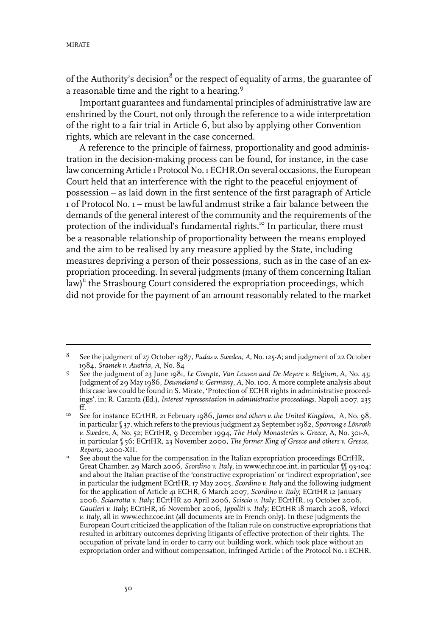of the Authority's decision<sup>8</sup> or the respect of equality of arms, the guarantee of a reasonable time and the right to a hearing.<sup>9</sup>

Important guarantees and fundamental principles of administrative law are enshrined by the Court, not only through the reference to a wide interpretation of the right to a fair trial in Article 6, but also by applying other Convention rights, which are relevant in the case concerned.

A reference to the principle of fairness, proportionality and good administration in the decision-making process can be found, for instance, in the case law concerning Article 1 Protocol No. 1 ECHR.On several occasions, the European Court held that an interference with the right to the peaceful enjoyment of possession – as laid down in the first sentence of the first paragraph of Article 1 of Protocol No. 1 – must be lawful andmust strike a fair balance between the demands of the general interest of the community and the requirements of the protection of the individual's fundamental rights.<sup>10</sup> In particular, there must be a reasonable relationship of proportionality between the means employed and the aim to be realised by any measure applied by the State, including measures depriving a person of their possessions, such as in the case of an expropriation proceeding. In several judgments (many of them concerning Italian law)<sup>11</sup> the Strasbourg Court considered the expropriation proceedings, which did not provide for the payment of an amount reasonably related to the market

See the judgment of 27 October 1987, *Pudas v. Sweden*, *A*, No. 125-A; and judgment of 22 October 1984, *Sramek v. Austria*, *A*, No. 84 8

See the judgment of 23 June 1981, *Le Compte, Van Leuven and De Meyere v. Belgium*, A, No. 43; Judgment of 29 May 1986, *Deumeland v. Germany*, *A*, No. 100. A more complete analysis about 9 this case law could be found in S. Mirate, 'Protection of ECHR rights in administrative proceedings', in: R. Caranta (Ed.), *Interest representation in administrative proceedings*, Napoli 2007, 235 ff.

See for instance ECrtHR, 21 February 1986, *James and others v. the United Kingdom*, A, No. 98, in particular§ 37, which refers to the previous judgment 23 September 1982, *Sporrong e Lönroth*  $10<sup>-10</sup>$ *v. Sweden*, A, No. 52; ECrtHR, 9 December 1994, *The Holy Monasteries v. Greece*, A, No. 301-A, in particular § 56; ECrtHR, 23 November 2000, *The former King of Greece and others v. Greece*, *Reports*, 2000-XII.

See about the value for the compensation in the Italian expropriation proceedings ECrtHR, Great Chamber, 29 March 2006, *Scordino v. Italy*, in www.echr.coe.int, in particular §§ 93-104; 11 and about the Italian practise of the 'constructive expropriation' or 'indirect expropriation', see in particular the judgment ECrtHR, 17 May 2005, *Scordino v. Italy* and the following judgment for the application of Article 41 ECHR, 6 March 2007, *Scordino v. Italy*; ECrtHR 12 January 2006, *Sciarrotta v. Italy*; ECrtHR 20 April 2006, *Sciscio v. Italy*; ECrtHR, 19 October 2006, *Gautieri v. Italy*; ECrtHR, 16 November 2006, *Ippoliti v. Italy*; ECrtHR 18 march 2008, *Velocci v. Italy*, all in www.echr.coe.int (all documents are in French only). In these judgments the European Court criticized the application of the Italian rule on constructive expropriations that resulted in arbitrary outcomes depriving litigants of effective protection of their rights. The occupation of private land in order to carry out building work, which took place without an expropriation order and without compensation, infringed Article 1 of the Protocol No. 1 ECHR.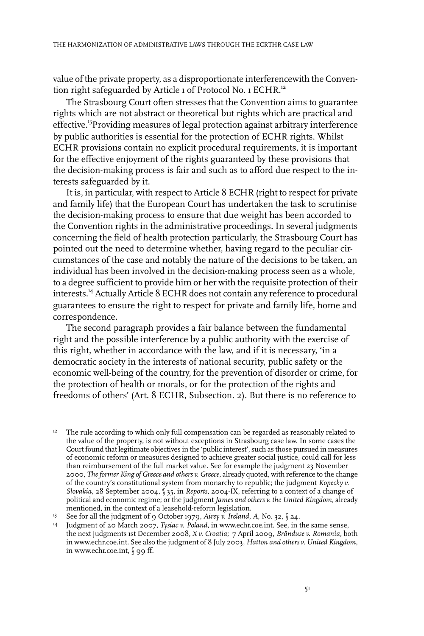value of the private property, as a disproportionate interferencewith the Convention right safeguarded by Article 1 of Protocol No. 1 ECHR.<sup>12</sup>

The Strasbourg Court often stresses that the Convention aims to guarantee rights which are not abstract or theoretical but rights which are practical and effective.<sup>13</sup>Providing measures of legal protection against arbitrary interference by public authorities is essential for the protection of ECHR rights. Whilst ECHR provisions contain no explicit procedural requirements, it is important for the effective enjoyment of the rights guaranteed by these provisions that the decision-making process is fair and such as to afford due respect to the interests safeguarded by it.

It is, in particular, with respect to Article 8 ECHR (right to respect for private and family life) that the European Court has undertaken the task to scrutinise the decision-making process to ensure that due weight has been accorded to the Convention rights in the administrative proceedings. In several judgments concerning the field of health protection particularly, the Strasbourg Court has pointed out the need to determine whether, having regard to the peculiar circumstances of the case and notably the nature of the decisions to be taken, an individual has been involved in the decision-making process seen as a whole, to a degree sufficient to provide him or her with the requisite protection of their interests.<sup>14</sup> Actually Article 8 ECHR does not contain any reference to procedural guarantees to ensure the right to respect for private and family life, home and correspondence.

The second paragraph provides a fair balance between the fundamental right and the possible interference by a public authority with the exercise of this right, whether in accordance with the law, and if it is necessary, 'in a democratic society in the interests of national security, public safety or the economic well-being of the country, for the prevention of disorder or crime, for the protection of health or morals, or for the protection of the rights and freedoms of others' (Art. 8 ECHR, Subsection. 2). But there is no reference to

<sup>&</sup>lt;sup>12</sup> The rule according to which only full compensation can be regarded as reasonably related to the value of the property, is not without exceptions in Strasbourg case law.In some cases the Court found that legitimate objectives in the 'public interest', such as those pursued in measures of economic reform or measures designed to achieve greater social justice, could call for less than reimbursement of the full market value. See for example the judgment 23 November 2000, *The former King of Greece and others v. Greece*, already quoted, with reference to the change of the country's constitutional system from monarchy to republic; the judgment *Kopecky v. Slovakia*, 28 September 2004, § 35, in *Reports*, 2004-IX, referring to a context of a change of political and economic regime; or the judgment *James and others v. the United Kingdom*, already mentioned, in the context of a leasehold-reform legislation.

See for all the judgment of 9 October 1979, *Airey v. Ireland*, *A*, No. 32, § 24. <sup>13</sup>

Judgment of 20 March 2007, *Tysiac v. Poland*, in www.echr.coe.int. See, in the same sense, the next judgments 1st December 2008, *X v. Croatia*; 7 April 2009, *Brânduse v. Romania*, both 14 in www.echr.coe.int. See also the judgment of 8 July 2003, *Hatton and others v. United Kingdom*, in www.echr.coe.int, § 99 ff.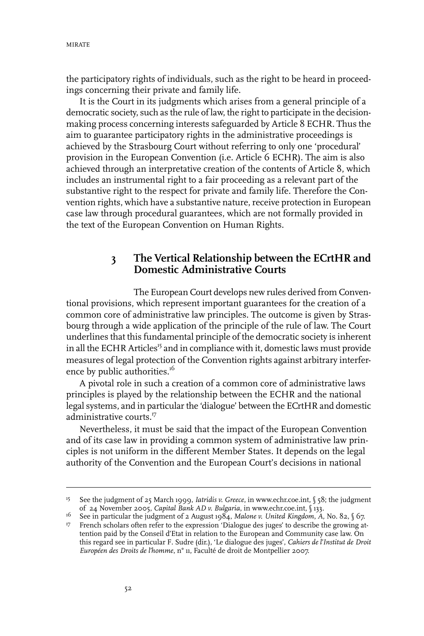the participatory rights of individuals, such as the right to be heard in proceedings concerning their private and family life.

It is the Court in its judgments which arises from a general principle of a democratic society, such as the rule of law, the right to participate in the decisionmaking process concerning interests safeguarded by Article 8 ECHR. Thus the aim to guarantee participatory rights in the administrative proceedings is achieved by the Strasbourg Court without referring to only one 'procedural' provision in the European Convention (i.e. Article 6 ECHR). The aim is also achieved through an interpretative creation of the contents of Article 8, which includes an instrumental right to a fair proceeding as a relevant part of the substantive right to the respect for private and family life. Therefore the Convention rights, which have a substantive nature, receive protection in European case law through procedural guarantees, which are not formally provided in the text of the European Convention on Human Rights.

## **3 The Vertical Relationship between the ECrtHR and Domestic Administrative Courts**

The European Court develops new rules derived from Conventional provisions, which represent important guarantees for the creation of a common core of administrative law principles. The outcome is given by Strasbourg through a wide application of the principle of the rule of law. The Court underlines that this fundamental principle of the democratic society is inherent in all the ECHR Articles<sup>15</sup> and in compliance with it, domestic laws must provide measures of legal protection of the Convention rights against arbitrary interference by public authorities.<sup>16</sup>

A pivotal role in such a creation of a common core of administrative laws principles is played by the relationship between the ECHR and the national legal systems, and in particular the 'dialogue' between the ECrtHR and domestic administrative courts.<sup>17</sup>

Nevertheless, it must be said that the impact of the European Convention and of its case law in providing a common system of administrative law principles is not uniform in the different Member States. It depends on the legal authority of the Convention and the European Court's decisions in national

<sup>&</sup>lt;sup>15</sup> See the judgment of 25 March 1999, *Iatridis v. Greece*, in www.echr.coe.int, § 58; the judgment of 24 November 2005, *Capital Bank AD v. Bulgaria*, in www.echr.coe.int, § 133.

See in particular the judgment of 2 August 1984, *Malone v. United Kingdom*, *A,* No. 82, § 67. 16

<sup>&</sup>lt;sup>17</sup> French scholars often refer to the expression 'Dialogue des juges' to describe the growing attention paid by the Conseil d'Etat in relation to the European and Community case law. On this regard see in particular F. Sudre (dir.), 'Le dialogue des juges', *Cahiers de l'Institut de Droit Européen des Droits de l'homme*, n° 11, Faculté de droit de Montpellier 2007.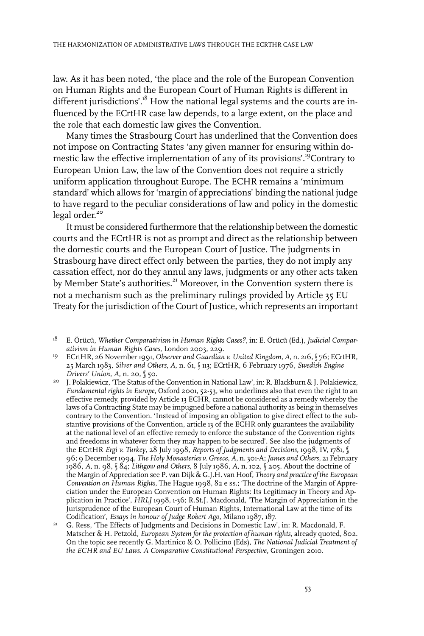law. As it has been noted, 'the place and the role of the European Convention on Human Rights and the European Court of Human Rights is different in different jurisdictions'.<sup>18</sup> How the national legal systems and the courts are influenced by the ECrtHR case law depends, to a large extent, on the place and the role that each domestic law gives the Convention.

Many times the Strasbourg Court has underlined that the Convention does not impose on Contracting States 'any given manner for ensuring within domestic law the effective implementation of any of its provisions'.<sup>19</sup>Contrary to European Union Law, the law of the Convention does not require a strictly uniform application throughout Europe. The ECHR remains a 'minimum standard' which allows for 'margin of appreciations' binding the national judge to have regard to the peculiar considerations of law and policy in the domestic legal order. 20

It must be considered furthermore that the relationship between the domestic courts and the ECrtHR is not as prompt and direct as the relationship between the domestic courts and the European Court of Justice. The judgments in Strasbourg have direct effect only between the parties, they do not imply any cassation effect, nor do they annul any laws, judgments or any other acts taken by Member State's authorities.<sup>21</sup> Moreover, in the Convention system there is not a mechanism such as the preliminary rulings provided by Article 35 EU Treaty for the jurisdiction of the Court of Justice, which represents an important

E. Örücü, *Whether Comparativism in Human Rights Cases?*, in: E. Örücü (Ed.), *Judicial Comparativism in Human Rights Cases*, London 2003, 229. 18

ECrtHR, 26 November 1991, *Observer and Guardian v. United Kingdom*, *A*, n. 216,§ 76; ECrtHR, 25 March 1983, *Silver and Others*, *A*, n. 61, § 113; ECrtHR, 6 February 1976, *Swedish Engine Drivers' Union*, *A*, n. 20, § 50. 19

J. Polakiewicz, 'The Status of the Convention in National Law', in: R. Blackburn & J. Polakiewicz, *Fundamental rights in Europe*, Oxford 2001, 52-53, who underlines also that even the right to an 20 effective remedy, provided by Article 13 ECHR, cannot be considered as a remedy whereby the laws of a Contracting State may be impugned before a national authority as being in themselves contrary to the Convention. 'Instead of imposing an obligation to give direct effect to the substantive provisions of the Convention, article 13 of the ECHR only guarantees the availability at the national level of an effective remedy to enforce the substance of the Convention rights and freedoms in whatever form they may happen to be secured'. See also the judgments of the ECrtHR *Ergi v. Turkey*, 28 July 1998, *Reports of Judgments and Decisions*, 1998,IV, 1781, § 96; 9 December 1994, *The Holy Monasteries v. Greece*, *A*, n. 301-A; *James and Others*, 21 February 1986, *A*, n. 98, § 84; *Lithgow and Others*, 8 July 1986, *A*, n. 102, § 205. About the doctrine of the Margin of Appreciation see P. van Dijk & G.J.H. van Hoof, *Theory and practice of the European Convention on Human Rights*, The Hague 1998, 82 e ss.; 'The doctrine of the Margin of Appreciation under the European Convention on Human Rights: Its Legitimacy in Theory and Application in Practice', *HRLJ* 1998, 1-36; R.St.J. Macdonald, 'The Margin of Appreciation in the Jurisprudence of the European Court of Human Rights, International Law at the time of its Codification', *Essays in honour of Judge Robert Ago*, Milano 1987, 187.

G. Ress, 'The Effects of Judgments and Decisions in Domestic Law', in: R. Macdonald, F. Matscher & H. Petzold, *European System for the protection of human rights*, already quoted, 802. 21 On the topic see recently G. Martinico & O. Pollicino (Eds), *The National Judicial Treatment of the ECHR and EU Laws. A Comparative Constitutional Perspective*, Groningen 2010.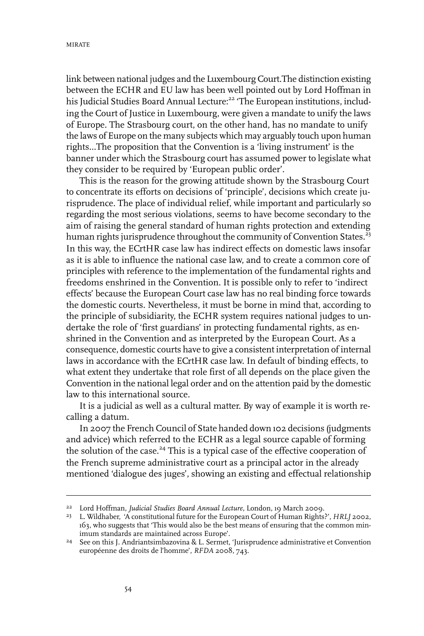link between national judges and the Luxembourg Court.The distinction existing between the ECHR and EU law has been well pointed out by Lord Hoffman in his Judicial Studies Board Annual Lecture:<sup>22</sup> 'The European institutions, including the Court of Justice in Luxembourg, were given a mandate to unify the laws of Europe. The Strasbourg court, on the other hand, has no mandate to unify the laws of Europe on the many subjects which may arguably touch upon human rights…The proposition that the Convention is a 'living instrument' is the banner under which the Strasbourg court has assumed power to legislate what they consider to be required by 'European public order'.

This is the reason for the growing attitude shown by the Strasbourg Court to concentrate its efforts on decisions of 'principle', decisions which create jurisprudence. The place of individual relief, while important and particularly so regarding the most serious violations, seems to have become secondary to the aim of raising the general standard of human rights protection and extending human rights jurisprudence throughout the community of Convention States.<sup>23</sup> In this way, the ECrtHR case law has indirect effects on domestic laws insofar as it is able to influence the national case law, and to create a common core of principles with reference to the implementation of the fundamental rights and freedoms enshrined in the Convention. It is possible only to refer to 'indirect effects' because the European Court case law has no real binding force towards the domestic courts. Nevertheless, it must be borne in mind that, according to the principle of subsidiarity, the ECHR system requires national judges to undertake the role of 'first guardians' in protecting fundamental rights, as enshrined in the Convention and as interpreted by the European Court. As a consequence, domestic courts have to give a consistent interpretation of internal laws in accordance with the ECrtHR case law. In default of binding effects, to what extent they undertake that role first of all depends on the place given the Convention in the national legal order and on the attention paid by the domestic law to this international source.

It is a judicial as well as a cultural matter. By way of example it is worth recalling a datum.

In 2007 the French Council of State handed down 102 decisions (judgments and advice) which referred to the ECHR as a legal source capable of forming the solution of the case.<sup>24</sup> This is a typical case of the effective cooperation of the French supreme administrative court as a principal actor in the already mentioned 'dialogue des juges', showing an existing and effectual relationship

Lord Hoffman, *Judicial Studies Board Annual Lecture*, London, 19 March 2009. <sup>22</sup>

<sup>&</sup>lt;sup>23</sup> L. Wildhaber, 'A constitutional future for the European Court of Human Rights?', *HRLJ* 2002, 163, who suggests that 'This would also be the best means of ensuring that the common minimum standards are maintained across Europe'.

<sup>&</sup>lt;sup>24</sup> See on this J. Andriantsimbazovina & L. Sermet, 'Jurisprudence administrative et Convention européenne des droits de l'homme', *RFDA* 2008, 743.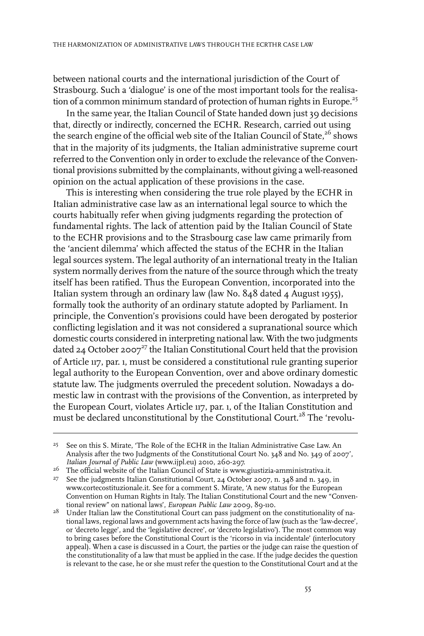between national courts and the international jurisdiction of the Court of Strasbourg. Such a 'dialogue' is one of the most important tools for the realisation of a common minimum standard of protection of human rights in Europe.<sup>25</sup>

In the same year, the Italian Council of State handed down just 39 decisions that, directly or indirectly, concerned the ECHR. Research, carried out using the search engine of the official web site of the Italian Council of State, $26$  shows that in the majority of its judgments, the Italian administrative supreme court referred to the Convention only in order to exclude the relevance of the Conventional provisions submitted by the complainants, without giving a well-reasoned opinion on the actual application of these provisions in the case.

This is interesting when considering the true role played by the ECHR in Italian administrative case law as an international legal source to which the courts habitually refer when giving judgments regarding the protection of fundamental rights. The lack of attention paid by the Italian Council of State to the ECHR provisions and to the Strasbourg case law came primarily from the 'ancient dilemma' which affected the status of the ECHR in the Italian legal sources system. The legal authority of an international treaty in the Italian system normally derives from the nature of the source through which the treaty itself has been ratified. Thus the European Convention, incorporated into the Italian system through an ordinary law (law No. 848 dated 4 August 1955), formally took the authority of an ordinary statute adopted by Parliament. In principle, the Convention's provisions could have been derogated by posterior conflicting legislation and it was not considered a supranational source which domestic courts considered in interpreting national law. With the two judgments dated 24 October 2007<sup>27</sup> the Italian Constitutional Court held that the provision of Article 117, par. 1, must be considered a constitutional rule granting superior legal authority to the European Convention, over and above ordinary domestic statute law. The judgments overruled the precedent solution. Nowadays a domestic law in contrast with the provisions of the Convention, as interpreted by the European Court, violates Article 117, par. 1, of the Italian Constitution and must be declared unconstitutional by the Constitutional Court.<sup>28</sup> The 'revolu-

<sup>26</sup> The official website of the Italian Council of State is www.giustizia-amministrativa.it.

<sup>&</sup>lt;sup>25</sup> See on this S. Mirate, 'The Role of the ECHR in the Italian Administrative Case Law. An Analysis after the two Judgments of the Constitutional Court No. 348 and No. 349 of 2007', *Italian Journal of Public Law* (www.ijpl.eu) 2010, 260-297.

<sup>&</sup>lt;sup>27</sup> See the judgments Italian Constitutional Court, 24 October 2007, n. 348 and n. 349, in www.cortecostituzionale.it. See for a comment S. Mirate, 'A new status for the European Convention on Human Rights in Italy. The Italian Constitutional Court and the new "Conventional review" on national laws', *European Public Law* 2009, 89-110.

 $2^8$  Under Italian law the Constitutional Court can pass judgment on the constitutionality of national laws,regional laws and government acts having the force of law (such as the 'law-decree', or 'decreto legge', and the 'legislative decree', or 'decreto legislativo'). The most common way to bring cases before the Constitutional Court is the 'ricorso in via incidentale' (interlocutory appeal). When a case is discussed in a Court, the parties or the judge can raise the question of the constitutionality of a law that must be applied in the case.If the judge decides the question is relevant to the case, he or she must refer the question to the Constitutional Court and at the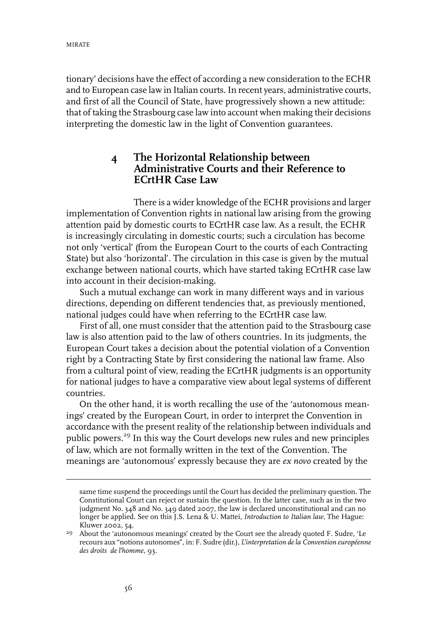tionary' decisions have the effect of according a new consideration to the ECHR and to European case law in Italian courts. In recent years, administrative courts, and first of all the Council of State, have progressively shown a new attitude: that of taking the Strasbourg case law into account when making their decisions interpreting the domestic law in the light of Convention guarantees.

## **4 The Horizontal Relationship between Administrative Courts and their Reference to ECrtHR Case Law**

There is a wider knowledge of the ECHR provisions and larger implementation of Convention rights in national law arising from the growing attention paid by domestic courts to ECrtHR case law. As a result, the ECHR is increasingly circulating in domestic courts; such a circulation has become not only 'vertical' (from the European Court to the courts of each Contracting State) but also 'horizontal'. The circulation in this case is given by the mutual exchange between national courts, which have started taking ECrtHR case law into account in their decision-making.

Such a mutual exchange can work in many different ways and in various directions, depending on different tendencies that, as previously mentioned, national judges could have when referring to the ECrtHR case law.

First of all, one must consider that the attention paid to the Strasbourg case law is also attention paid to the law of others countries. In its judgments, the European Court takes a decision about the potential violation of a Convention right by a Contracting State by first considering the national law frame. Also from a cultural point of view, reading the ECrtHR judgments is an opportunity for national judges to have a comparative view about legal systems of different countries.

On the other hand, it is worth recalling the use of the 'autonomous meanings' created by the European Court, in order to interpret the Convention in accordance with the present reality of the relationship between individuals and public powers.<sup>29</sup> In this way the Court develops new rules and new principles of law, which are not formally written in the text of the Convention. The meanings are 'autonomous' expressly because they are *ex novo* created by the

same time suspend the proceedings until the Court has decided the preliminary question. The Constitutional Court can reject or sustain the question.In the latter case, such as in the two judgment No. 348 and No. 349 dated 2007, the law is declared unconstitutional and can no longer be applied. See on this J.S. Lena & U. Mattei, *Introduction to Italian law*, The Hague: Kluwer 2002, 54.

<sup>&</sup>lt;sup>29</sup> About the 'autonomous meanings' created by the Court see the already quoted F. Sudre, 'Le recours aux "notions autonomes", in: F. Sudre (dir.), *L'interpretation dela Convention européenne des droits de l'homme*, 93.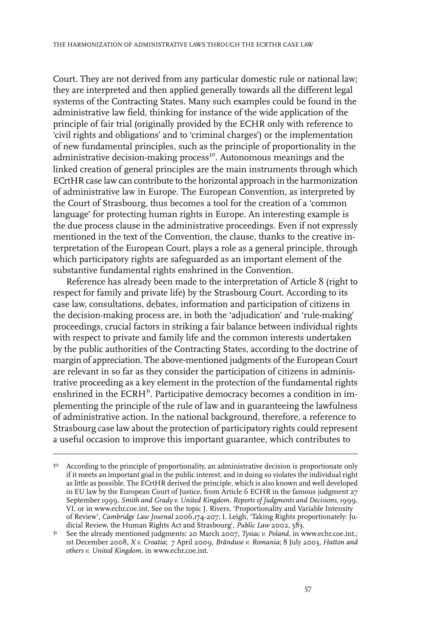Court. They are not derived from any particular domestic rule or national law; they are interpreted and then applied generally towards all the different legal systems of the Contracting States. Many such examples could be found in the administrative law field, thinking for instance of the wide application of the principle of fair trial (originally provided by the ECHR only with reference to 'civil rights and obligations' and to 'criminal charges') or the implementation of new fundamental principles, such as the principle of proportionality in the administrative decision-making process<sup>30</sup>. Autonomous meanings and the linked creation of general principles are the main instruments through which ECrtHR case law can contribute to the horizontal approach in the harmonization of administrative law in Europe. The European Convention, as interpreted by the Court of Strasbourg, thus becomes a tool for the creation of a 'common language' for protecting human rights in Europe. An interesting example is the due process clause in the administrative proceedings. Even if not expressly mentioned in the text of the Convention, the clause, thanks to the creative interpretation of the European Court, plays a role as a general principle, through which participatory rights are safeguarded as an important element of the substantive fundamental rights enshrined in the Convention.

Reference has already been made to the interpretation of Article 8 (right to respect for family and private life) by the Strasbourg Court. According to its case law, consultations, debates, information and participation of citizens in the decision-making process are, in both the 'adjudication' and 'rule-making' proceedings, crucial factors in striking a fair balance between individual rights with respect to private and family life and the common interests undertaken by the public authorities of the Contracting States, according to the doctrine of margin of appreciation. The above-mentioned judgments of the European Court are relevant in so far as they consider the participation of citizens in administrative proceeding as a key element in the protection of the fundamental rights enshrined in the ECRH<sup>31</sup>. Participative democracy becomes a condition in implementing the principle of the rule of law and in guaranteeing the lawfulness of administrative action. In the national background, therefore, a reference to Strasbourg case law about the protection of participatory rights could represent a useful occasion to improve this important guarantee, which contributes to

<sup>&</sup>lt;sup>30</sup> According to the principle of proportionality, an administrative decision is proportionate only if it meets an important goal in the public interest, and in doing so violates the individual right as little as possible. The ECrtHR derived the principle, which is also known and well developed in EU law by the European Court of Justice, from Article 6 ECHR in the famous judgment 27 September 1999, *Smith and Grady v. United Kingdom, Reports of Judgments and Decisions*, 1999, VI, or in www.echr.coe.int. See on the topic J. Rivers, 'Proportionality and Variable Intensity of Review', *Cambridge Law Journal* 2006,174-207;I. Leigh, 'Taking Rights proportionately: Judicial Review, the Human Rights Act and Strasbourg', *Public Law* 2002, 583.

See the already mentioned judgments: 20 March 2007, *Tysiac v. Poland*, in www.echr.coe.int.; 1st December 2008, *X v. Croatia*; 7 April 2009, *Brânduse v. Romania*; 8 July 2003, *Hatton and others v. United Kingdom*, in www.echr.coe.int. 31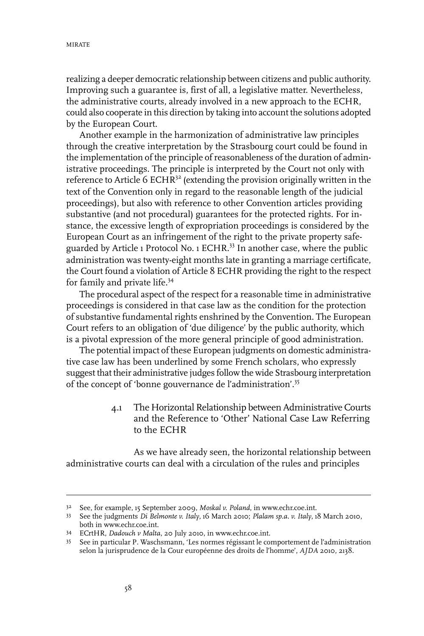realizing a deeper democratic relationship between citizens and public authority. Improving such a guarantee is, first of all, a legislative matter. Nevertheless, the administrative courts, already involved in a new approach to the ECHR, could also cooperate in this direction by taking into account the solutions adopted by the European Court.

Another example in the harmonization of administrative law principles through the creative interpretation by the Strasbourg court could be found in the implementation of the principle of reasonableness of the duration of administrative proceedings. The principle is interpreted by the Court not only with reference to Article 6 ECHR $32$  (extending the provision originally written in the text of the Convention only in regard to the reasonable length of the judicial proceedings), but also with reference to other Convention articles providing substantive (and not procedural) guarantees for the protected rights. For instance, the excessive length of expropriation proceedings is considered by the European Court as an infringement of the right to the private property safeguarded by Article 1 Protocol No. 1 ECHR.<sup>33</sup> In another case, where the public administration was twenty-eight months late in granting a marriage certificate, the Court found a violation of Article 8 ECHR providing the right to the respect for family and private life.<sup>34</sup>

The procedural aspect of the respect for a reasonable time in administrative proceedings is considered in that case law as the condition for the protection of substantive fundamental rights enshrined by the Convention. The European Court refers to an obligation of 'due diligence' by the public authority, which is a pivotal expression of the more general principle of good administration.

The potential impact of these European judgments on domestic administrative case law has been underlined by some French scholars, who expressly suggest that their administrative judges follow the wide Strasbourg interpretation of the concept of 'bonne gouvernance de l'administration'.<sup>35</sup>

> 4.1 The Horizontal Relationship between Administrative Courts and the Reference to 'Other' National Case Law Referring to the ECHR

As we have already seen, the horizontal relationship between administrative courts can deal with a circulation of the rules and principles

See, for example, 15 September 2009, *Moskal v. Poland*, in www.echr.coe.int. <sup>32</sup>

See the judgments *Di Belmonte v. Italy*, 16 March 2010; *Plalam sp.a. v. Italy*, 18 March 2010, 33 both in www.echr.coe.int.

ECrtHR, *Dadouch v Malta*, 20 July 2010, in www.echr.coe.int. <sup>34</sup>

<sup>35</sup> See in particular P. Waschsmann, 'Les normes régissant le comportement de l'administration selon la jurisprudence de la Cour européenne des droits de l'homme', *AJDA* 2010, 2138.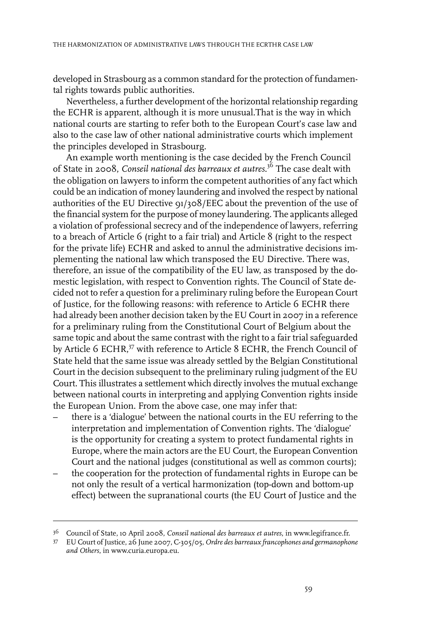developed in Strasbourg as a common standard for the protection of fundamental rights towards public authorities.

Nevertheless, a further development of the horizontal relationship regarding the ECHR is apparent, although it is more unusual.That is the way in which national courts are starting to refer both to the European Court's case law and also to the case law of other national administrative courts which implement the principles developed in Strasbourg.

An example worth mentioning is the case decided by the French Council of State in 2008, *Conseil national des barreaux et autres*. <sup>36</sup> The case dealt with the obligation on lawyers to inform the competent authorities of any fact which could be an indication of money laundering and involved the respect by national authorities of the EU Directive 91/308/EEC about the prevention of the use of the financial system for the purpose of money laundering. The applicants alleged a violation of professional secrecy and of the independence of lawyers, referring to a breach of Article 6 (right to a fair trial) and Article 8 (right to the respect for the private life) ECHR and asked to annul the administrative decisions implementing the national law which transposed the EU Directive. There was, therefore, an issue of the compatibility of the EU law, as transposed by the domestic legislation, with respect to Convention rights. The Council of State decided not to refer a question for a preliminary ruling before the European Court of Justice, for the following reasons: with reference to Article 6 ECHR there had already been another decision taken by the EU Court in 2007 in a reference for a preliminary ruling from the Constitutional Court of Belgium about the same topic and about the same contrast with the right to a fair trial safeguarded by Article 6 ECHR,<sup>37</sup> with reference to Article 8 ECHR, the French Council of State held that the same issue was already settled by the Belgian Constitutional Court in the decision subsequent to the preliminary ruling judgment of the EU Court. This illustrates a settlement which directly involves the mutual exchange between national courts in interpreting and applying Convention rights inside the European Union. From the above case, one may infer that:

- there is a 'dialogue' between the national courts in the EU referring to the interpretation and implementation of Convention rights. The 'dialogue' is the opportunity for creating a system to protect fundamental rights in Europe, where the main actors are the EU Court, the European Convention Court and the national judges (constitutional as well as common courts);
- the cooperation for the protection of fundamental rights in Europe can be not only the result of a vertical harmonization (top-down and bottom-up effect) between the supranational courts (the EU Court of Justice and the

Council of State, 10 April 2008, *Conseil national des barreaux et autres*, in www.legifrance.fr. 36

EU Court of Justice, 26 June 2007, C-305/05, *Ordre des barreaux francophones and germanophone* 37 *and Others*, in www.curia.europa.eu.